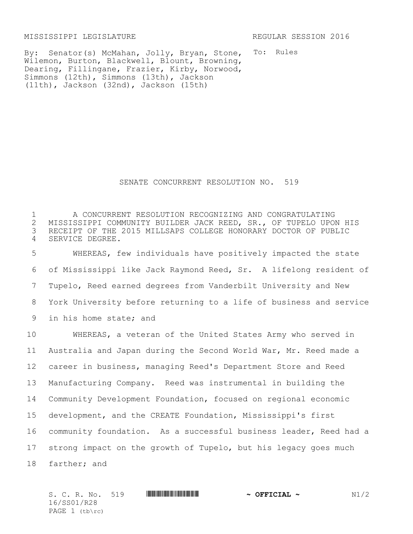MISSISSIPPI LEGISLATURE REGULAR SESSION 2016

To: Rules By: Senator(s) McMahan, Jolly, Bryan, Stone, Wilemon, Burton, Blackwell, Blount, Browning, Dearing, Fillingane, Frazier, Kirby, Norwood, Simmons (12th), Simmons (13th), Jackson (11th), Jackson (32nd), Jackson (15th)

## SENATE CONCURRENT RESOLUTION NO. 519

 A CONCURRENT RESOLUTION RECOGNIZING AND CONGRATULATING 2 MISSISSIPPI COMMUNITY BUILDER JACK REED, SR., OF TUPELO UPON HIS<br>3 RECEIPT OF THE 2015 MILLSAPS COLLEGE HONORARY DOCTOR OF PUBLIC RECEIPT OF THE 2015 MILLSAPS COLLEGE HONORARY DOCTOR OF PUBLIC SERVICE DEGREE.

 WHEREAS, few individuals have positively impacted the state of Mississippi like Jack Raymond Reed, Sr. A lifelong resident of Tupelo, Reed earned degrees from Vanderbilt University and New York University before returning to a life of business and service in his home state; and

 WHEREAS, a veteran of the United States Army who served in Australia and Japan during the Second World War, Mr. Reed made a career in business, managing Reed's Department Store and Reed Manufacturing Company. Reed was instrumental in building the Community Development Foundation, focused on regional economic development, and the CREATE Foundation, Mississippi's first community foundation. As a successful business leader, Reed had a strong impact on the growth of Tupelo, but his legacy goes much farther; and

| S. C. R. No. 519 | <u> III di kacamatan ing Kabupatèn Bandaran III di kacamatan III di kacamatan III di kacamatan III di kacamatan I</u> | $\sim$ OFFICIAL $\sim$ | N1/2 |
|------------------|-----------------------------------------------------------------------------------------------------------------------|------------------------|------|
| 16/SS01/R28      |                                                                                                                       |                        |      |
| PAGE $1$ (tb\rc) |                                                                                                                       |                        |      |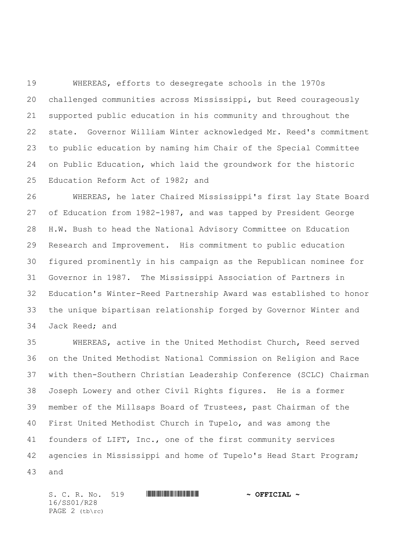WHEREAS, efforts to desegregate schools in the 1970s challenged communities across Mississippi, but Reed courageously supported public education in his community and throughout the state. Governor William Winter acknowledged Mr. Reed's commitment to public education by naming him Chair of the Special Committee on Public Education, which laid the groundwork for the historic Education Reform Act of 1982; and

 WHEREAS, he later Chaired Mississippi's first lay State Board of Education from 1982-1987, and was tapped by President George H.W. Bush to head the National Advisory Committee on Education Research and Improvement. His commitment to public education figured prominently in his campaign as the Republican nominee for Governor in 1987. The Mississippi Association of Partners in Education's Winter-Reed Partnership Award was established to honor the unique bipartisan relationship forged by Governor Winter and Jack Reed; and

 WHEREAS, active in the United Methodist Church, Reed served on the United Methodist National Commission on Religion and Race with then-Southern Christian Leadership Conference (SCLC) Chairman Joseph Lowery and other Civil Rights figures. He is a former member of the Millsaps Board of Trustees, past Chairman of the First United Methodist Church in Tupelo, and was among the founders of LIFT, Inc., one of the first community services agencies in Mississippi and home of Tupelo's Head Start Program; and

S. C. R. No. 519 \*SS01/R28\* **~ OFFICIAL ~** 16/SS01/R28 PAGE (tb\rc)